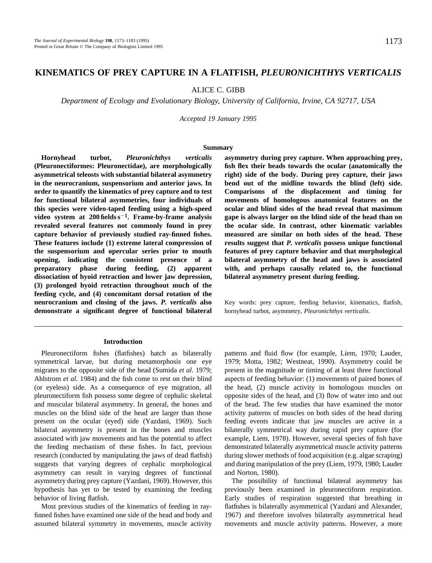# **KINEMATICS OF PREY CAPTURE IN A FLATFISH,** *PLEURONICHTHYS VERTICALIS*

ALICE C. GIBB

*Department of Ecology and Evolutionary Biology, University of California, Irvine, CA 92717, USA*

*Accepted 19 January 1995*

## **Summary**

**Hornyhead turbot,** *Pleuronichthys verticalis* **(Pleuronectiformes: Pleuronectidae), are morphologically asymmetrical teleosts with substantial bilateral asymmetry in the neurocranium, suspensorium and anterior jaws. In order to quantify the kinematics of prey capture and to test for functional bilateral asymmetries, four individuals of this species were video-taped feeding using a high-speed** video system at 200 fields s<sup>-1</sup>. Frame-by-frame analysis **revealed several features not commonly found in prey capture behavior of previously studied ray-finned fishes. These features include (1) extreme lateral compression of the suspensorium and opercular series prior to mouth opening, indicating the consistent presence of a preparatory phase during feeding, (2) apparent dissociation of hyoid retraction and lower jaw depression, (3) prolonged hyoid retraction throughout much of the feeding cycle, and (4) concomitant dorsal rotation of the neurocranium and closing of the jaws.** *P. verticalis* **also demonstrate a significant degree of functional bilateral**

### **Introduction**

Pleuronectiform fishes (flatfishes) hatch as bilaterally symmetrical larvae, but during metamorphosis one eye migrates to the opposite side of the head (Sumida *et al.* 1979; Ahlstrom *et al.* 1984) and the fish come to rest on their blind (or eyeless) side. As a consequence of eye migration, all pleuronectiform fish possess some degree of cephalic skeletal and muscular bilateral asymmetry. In general, the bones and muscles on the blind side of the head are larger than those present on the ocular (eyed) side (Yazdani, 1969). Such bilateral asymmetry is present in the bones and muscles associated with jaw movements and has the potential to affect the feeding mechanism of these fishes. In fact, previous research (conducted by manipulating the jaws of dead flatfish) suggests that varying degrees of cephalic morphological asymmetry can result in varying degrees of functional asymmetry during prey capture (Yazdani, 1969). However, this hypothesis has yet to be tested by examining the feeding behavior of living flatfish.

Most previous studies of the kinematics of feeding in rayfinned fishes have examined one side of the head and body and assumed bilateral symmetry in movements, muscle activity

**asymmetry during prey capture. When approaching prey, fish flex their heads towards the ocular (anatomically the right) side of the body. During prey capture, their jaws bend out of the midline towards the blind (left) side. Comparisons of the displacement and timing for movements of homologous anatomical features on the ocular and blind sides of the head reveal that maximum gape is always larger on the blind side of the head than on the ocular side. In contrast, other kinematic variables measured are similar on both sides of the head. These results suggest that** *P. verticalis* **possess unique functional features of prey capture behavior and that morphological bilateral asymmetry of the head and jaws is associated with, and perhaps causally related to, the functional bilateral asymmetry present during feeding.**

Key words: prey capture, feeding behavior, kinematics, flatfish, hornyhead turbot, asymmetry, *Pleuronichthys verticalis*.

patterns and fluid flow (for example, Liem, 1970; Lauder, 1979; Motta, 1982; Westneat, 1990). Asymmetry could be present in the magnitude or timing of at least three functional aspects of feeding behavior: (1) movements of paired bones of the head, (2) muscle activity in homologous muscles on opposite sides of the head, and (3) flow of water into and out of the head. The few studies that have examined the motor activity patterns of muscles on both sides of the head during feeding events indicate that jaw muscles are active in a bilaterally symmetrical way during rapid prey capture (for example, Liem, 1978). However, several species of fish have demonstrated bilaterally asymmetrical muscle activity patterns during slower methods of food acquisition (e.g. algae scraping) and during manipulation of the prey (Liem, 1979, 1980; Lauder and Norton, 1980).

The possibility of functional bilateral asymmetry has previously been examined in pleuronectiform respiration. Early studies of respiration suggested that breathing in flatfishes is bilaterally asymmetrical (Yazdani and Alexander, 1967) and therefore involves bilaterally asymmetrical head movements and muscle activity patterns. However, a more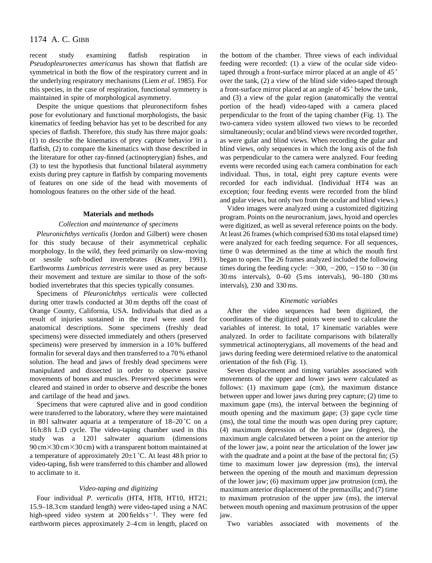recent study examining flatfish respiration in *Pseudopleuronectes americanus* has shown that flatfish are symmetrical in both the flow of the respiratory current and in the underlying respiratory mechanisms (Liem *et al*. 1985). For this species, in the case of respiration, functional symmetry is maintained in spite of morphological asymmetry.

Despite the unique questions that pleuronectiform fishes pose for evolutionary and functional morphologists, the basic kinematics of feeding behavior has yet to be described for any species of flatfish. Therefore, this study has three major goals: (1) to describe the kinematics of prey capture behavior in a flatfish, (2) to compare the kinematics with those described in the literature for other ray-finned (actinopterygian) fishes, and (3) to test the hypothesis that functional bilateral asymmetry exists during prey capture in flatfish by comparing movements of features on one side of the head with movements of homologous features on the other side of the head.

### **Materials and methods**

## *Collection and maintenance of specimens*

*Pleuronichthys verticalis* (Jordon and Gilbert) were chosen for this study because of their asymmetrical cephalic morphology. In the wild, they feed primarily on slow-moving or sessile soft-bodied invertebrates (Kramer, 1991). Earthworms *Lumbricus terrestris* were used as prey because their movement and texture are similar to those of the softbodied invertebrates that this species typically consumes.

Specimens of *Pleuronichthys verticalis* were collected during otter trawls conducted at 30 m depths off the coast of Orange County, California, USA. Individuals that died as a result of injuries sustained in the trawl were used for anatomical descriptions. Some specimens (freshly dead specimens) were dissected immediately and others (preserved specimens) were preserved by immersion in a 10 % buffered formalin for several days and then transferred to a 70 % ethanol solution. The head and jaws of freshly dead specimens were manipulated and dissected in order to observe passive movements of bones and muscles. Preserved specimens were cleared and stained in order to observe and describe the bones and cartilage of the head and jaws.

Specimens that were captured alive and in good condition were transferred to the laboratory, where they were maintained in 801 saltwater aquaria at a temperature of  $18-20$  °C on a 16 h:8 h L:D cycle. The video-taping chamber used in this study was a 1201 saltwater aquarium (dimensions  $90 \text{ cm} \times 30 \text{ cm} \times 30 \text{ cm}$ ) with a transparent bottom maintained at a temperature of approximately 20±1 ˚C. At least 48 h prior to video-taping, fish were transferred to this chamber and allowed to acclimate to it.

## *Video-taping and digitizing*

Four individual *P. verticalis* (HT4, HT8, HT10, HT21; 15.9–18.3 cm standard length) were video-taped using a NAC high-speed video system at  $200$  fields  $s^{-1}$ . They were fed earthworm pieces approximately 2–4 cm in length, placed on the bottom of the chamber. Three views of each individual feeding were recorded: (1) a view of the ocular side videotaped through a front-surface mirror placed at an angle of 45 ˚ over the tank, (2) a view of the blind side video-taped through a front-surface mirror placed at an angle of 45 ˚ below the tank, and (3) a view of the gular region (anatomically the ventral portion of the head) video-taped with a camera placed perpendicular to the front of the taping chamber (Fig. 1). The two-camera video system allowed two views to be recorded simultaneously; ocular and blind views were recorded together, as were gular and blind views. When recording the gular and blind views, only sequences in which the long axis of the fish was perpendicular to the camera were analyzed. Four feeding events were recorded using each camera combination for each individual. Thus, in total, eight prey capture events were recorded for each individual. (Individual HT4 was an exception; four feeding events were recorded from the blind and gular views, but only two from the ocular and blind views.)

Video images were analyzed using a customized digitizing program. Points on the neurocranium, jaws, hyoid and opercles were digitized, as well as several reference points on the body. At least 26 frames (which comprised 630 ms total elapsed time) were analyzed for each feeding sequence. For all sequences, time 0 was determined as the time at which the mouth first began to open. The 26 frames analyzed included the following times during the feeding cycle:  $-300$ ,  $-200$ ,  $-150$  to  $-30$  (in 30 ms intervals), 0–60 (5 ms intervals), 90–180 (30 ms intervals), 230 and 330 ms.

### *Kinematic variables*

After the video sequences had been digitized, the coordinates of the digitized points were used to calculate the variables of interest. In total, 17 kinematic variables were analyzed. In order to facilitate comparisons with bilaterally symmetrical actinopterygians, all movements of the head and jaws during feeding were determined relative to the anatomical orientation of the fish (Fig. 1).

Seven displacement and timing variables associated with movements of the upper and lower jaws were calculated as follows: (1) maximum gape (cm), the maximum distance between upper and lower jaws during prey capture; (2) time to maximum gape (ms), the interval between the beginning of mouth opening and the maximum gape; (3) gape cycle time (ms), the total time the mouth was open during prey capture; (4) maximum depression of the lower jaw (degrees), the maximum angle calculated between a point on the anterior tip of the lower jaw, a point near the articulation of the lower jaw with the quadrate and a point at the base of the pectoral fin; (5) time to maximum lower jaw depression (ms), the interval between the opening of the mouth and maximum depression of the lower jaw; (6) maximum upper jaw protrusion (cm), the maximum anterior displacement of the premaxilla; and (7) time to maximum protrusion of the upper jaw (ms), the interval between mouth opening and maximum protrusion of the upper jaw.

Two variables associated with movements of the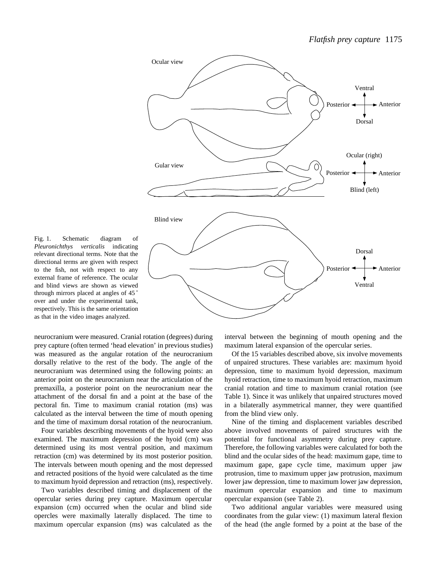

Fig. 1. Schematic diagram of *Pleuronichthys verticalis* indicating relevant directional terms. Note that the directional terms are given with respect to the fish, not with respect to any external frame of reference. The ocular and blind views are shown as viewed through mirrors placed at angles of 45 ˚ over and under the experimental tank, respectively. This is the same orientation as that in the video images analyzed.

neurocranium were measured. Cranial rotation (degrees) during prey capture (often termed 'head elevation' in previous studies) was measured as the angular rotation of the neurocranium dorsally relative to the rest of the body. The angle of the neurocranium was determined using the following points: an anterior point on the neurocranium near the articulation of the premaxilla, a posterior point on the neurocranium near the attachment of the dorsal fin and a point at the base of the pectoral fin. Time to maximum cranial rotation (ms) was calculated as the interval between the time of mouth opening and the time of maximum dorsal rotation of the neurocranium.

Four variables describing movements of the hyoid were also examined. The maximum depression of the hyoid (cm) was determined using its most ventral position, and maximum retraction (cm) was determined by its most posterior position. The intervals between mouth opening and the most depressed and retracted positions of the hyoid were calculated as the time to maximum hyoid depression and retraction (ms), respectively.

Two variables described timing and displacement of the opercular series during prey capture. Maximum opercular expansion (cm) occurred when the ocular and blind side opercles were maximally laterally displaced. The time to maximum opercular expansion (ms) was calculated as the interval between the beginning of mouth opening and the maximum lateral expansion of the opercular series.

Of the 15 variables described above, six involve movements of unpaired structures. These variables are: maximum hyoid depression, time to maximum hyoid depression, maximum hyoid retraction, time to maximum hyoid retraction, maximum cranial rotation and time to maximum cranial rotation (see Table 1). Since it was unlikely that unpaired structures moved in a bilaterally asymmetrical manner, they were quantified from the blind view only.

Nine of the timing and displacement variables described above involved movements of paired structures with the potential for functional asymmetry during prey capture. Therefore, the following variables were calculated for both the blind and the ocular sides of the head: maximum gape, time to maximum gape, gape cycle time, maximum upper jaw protrusion, time to maximum upper jaw protrusion, maximum lower jaw depression, time to maximum lower jaw depression, maximum opercular expansion and time to maximum opercular expansion (see Table 2).

Two additional angular variables were measured using coordinates from the gular view: (1) maximum lateral flexion of the head (the angle formed by a point at the base of the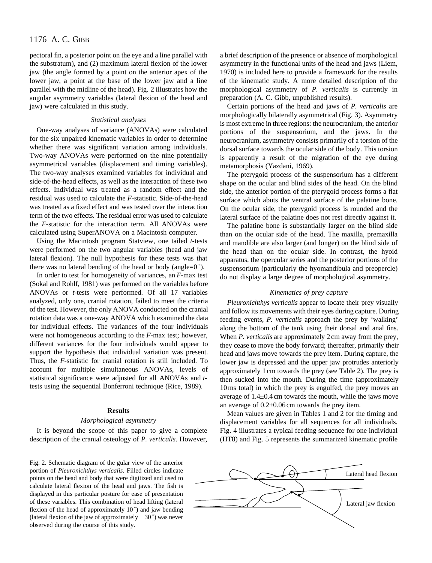pectoral fin, a posterior point on the eye and a line parallel with the substratum), and (2) maximum lateral flexion of the lower jaw (the angle formed by a point on the anterior apex of the lower jaw, a point at the base of the lower jaw and a line parallel with the midline of the head). Fig. 2 illustrates how the angular asymmetry variables (lateral flexion of the head and jaw) were calculated in this study.

## *Statistical analyses*

One-way analyses of variance (ANOVAs) were calculated for the six unpaired kinematic variables in order to determine whether there was significant variation among individuals. Two-way ANOVAs were performed on the nine potentially asymmetrical variables (displacement and timing variables). The two-way analyses examined variables for individual and side-of-the-head effects, as well as the interaction of these two effects. Individual was treated as a random effect and the residual was used to calculate the *F*-statistic. Side-of-the-head was treated as a fixed effect and was tested over the interaction term of the two effects. The residual error was used to calculate the *F*-statistic for the interaction term. All ANOVAs were calculated using SuperANOVA on a Macintosh computer.

Using the Macintosh program Statview, one tailed *t*-tests were performed on the two angular variables (head and jaw lateral flexion). The null hypothesis for these tests was that there was no lateral bending of the head or body (angle=0 ˚).

In order to test for homogeneity of variances, an *F*-max test (Sokal and Rohlf, 1981) was performed on the variables before ANOVAs or *t*-tests were performed. Of all 17 variables analyzed, only one, cranial rotation, failed to meet the criteria of the test. However, the only ANOVA conducted on the cranial rotation data was a one-way ANOVA which examined the data for individual effects. The variances of the four individuals were not homogeneous according to the *F*-max test; however, different variances for the four individuals would appear to support the hypothesis that individual variation was present. Thus, the *F*-statistic for cranial rotation is still included. To account for multiple simultaneous ANOVAs, levels of statistical significance were adjusted for all ANOVAs and *t*tests using the sequential Bonferroni technique (Rice, 1989).

### **Results**

## *Morphological asymmetry*

It is beyond the scope of this paper to give a complete description of the cranial osteology of *P. verticalis*. However,

Fig. 2. Schematic diagram of the gular view of the anterior portion of *Pleuronichthys verticalis*. Filled circles indicate points on the head and body that were digitized and used to calculate lateral flexion of the head and jaws. The fish is displayed in this particular posture for ease of presentation of these variables. This combination of head lifting (lateral flexion of the head of approximately  $10^{\degree}$ ) and jaw bending (lateral flexion of the jaw of approximately  $-30^\circ$ ) was never observed during the course of this study.

a brief description of the presence or absence of morphological asymmetry in the functional units of the head and jaws (Liem, 1970) is included here to provide a framework for the results of the kinematic study. A more detailed description of the morphological asymmetry of *P. verticalis* is currently in preparation (A. C. Gibb, unpublished results).

Certain portions of the head and jaws of *P. verticalis* are morphologically bilaterally asymmetrical (Fig. 3). Asymmetry is most extreme in three regions: the neurocranium, the anterior portions of the suspensorium, and the jaws. In the neurocranium, asymmetry consists primarily of a torsion of the dorsal surface towards the ocular side of the body. This torsion is apparently a result of the migration of the eye during metamorphosis (Yazdani, 1969).

The pterygoid process of the suspensorium has a different shape on the ocular and blind sides of the head. On the blind side, the anterior portion of the pterygoid process forms a flat surface which abuts the ventral surface of the palatine bone. On the ocular side, the pterygoid process is rounded and the lateral surface of the palatine does not rest directly against it.

The palatine bone is substantially larger on the blind side than on the ocular side of the head. The maxilla, premaxilla and mandible are also larger (and longer) on the blind side of the head than on the ocular side. In contrast, the hyoid apparatus, the opercular series and the posterior portions of the suspensorium (particularly the hyomandibula and preopercle) do not display a large degree of morphological asymmetry.

## *Kinematics of prey capture*

*Pleuronichthys verticalis* appear to locate their prey visually and follow its movements with their eyes during capture. During feeding events, *P. verticalis* approach the prey by 'walking' along the bottom of the tank using their dorsal and anal fins. When *P. verticalis* are approximately 2 cm away from the prey, they cease to move the body forward; thereafter, primarily their head and jaws move towards the prey item. During capture, the lower jaw is depressed and the upper jaw protrudes anteriorly approximately 1 cm towards the prey (see Table 2). The prey is then sucked into the mouth. During the time (approximately 10 ms total) in which the prey is engulfed, the prey moves an average of 1.4±0.4 cm towards the mouth, while the jaws move an average of 0.2±0.06 cm towards the prey item.

Mean values are given in Tables 1 and 2 for the timing and displacement variables for all sequences for all individuals. Fig. 4 illustrates a typical feeding sequence for one individual (HT8) and Fig. 5 represents the summarized kinematic profile

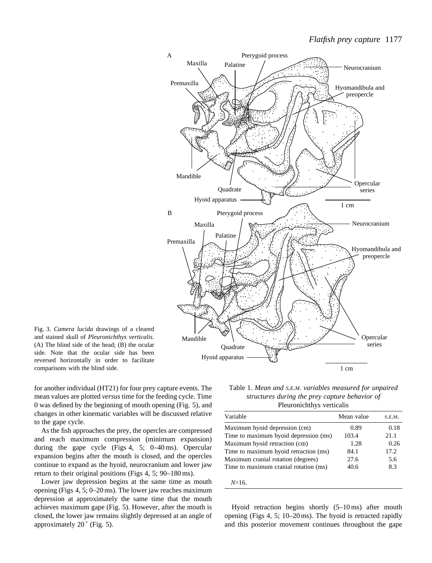

Fig. 3. *Camera lucida* drawings of a cleared and stained skull of *Pleuronichthys verticalis*. (A) The blind side of the head; (B) the ocular side. Note that the ocular side has been reversed horizontally in order to facilitate comparisons with the blind side.

for another individual (HT21) for four prey capture events. The mean values are plotted *versus* time for the feeding cycle. Time 0 was defined by the beginning of mouth opening (Fig. 5), and changes in other kinematic variables will be discussed relative to the gape cycle.

As the fish approaches the prey, the opercles are compressed and reach maximum compression (minimum expansion) during the gape cycle (Figs 4, 5; 0–40 ms). Opercular expansion begins after the mouth is closed, and the opercles continue to expand as the hyoid, neurocranium and lower jaw return to their original positions (Figs 4, 5; 90–180 ms).

Lower jaw depression begins at the same time as mouth opening (Figs 4, 5; 0–20 ms). The lower jaw reaches maximum depression at approximately the same time that the mouth achieves maximum gape (Fig. 5). However, after the mouth is closed, the lower jaw remains slightly depressed at an angle of approximately  $20^\circ$  (Fig. 5).

Table 1. *Mean and S.E.M. variables measured for unpaired structures during the prey capture behavior of* Pleuronichthys verticalis

| Mean value | S.E.M. |
|------------|--------|
| 0.89       | 0.18   |
| 103.4      | 21.1   |
| 1.28       | 0.26   |
| 84.1       | 17.2.  |
| 27.6       | 5.6    |
| 40.6       | 8.3    |
|            |        |

*N*=16.

Hyoid retraction begins shortly (5–10 ms) after mouth opening (Figs 4, 5; 10–20 ms). The hyoid is retracted rapidly and this posterior movement continues throughout the gape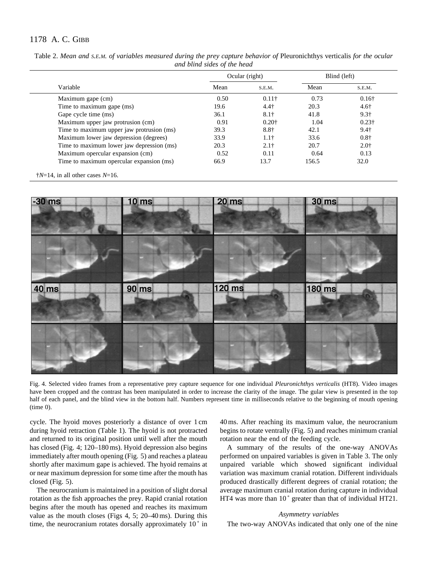| Variable                                  | Ocular (right) |                  | Blind (left) |               |
|-------------------------------------------|----------------|------------------|--------------|---------------|
|                                           | Mean           | S.E.M.           | Mean         | S.E.M.        |
| Maximum gape (cm)                         | 0.50           | $0.11\dagger$    | 0.73         | $0.16\dagger$ |
| Time to maximum gape (ms)                 | 19.6           | 4.4 <sup>†</sup> | 20.3         | $4.6\dagger$  |
| Gape cycle time (ms)                      | 36.1           | $8.1\dagger$     | 41.8         | $9.3\dagger$  |
| Maximum upper jaw protrusion (cm)         | 0.91           | $0.20+$          | 1.04         | $0.23\dagger$ |
| Time to maximum upper jaw protrusion (ms) | 39.3           | 8.8†             | 42.1         | $9.4\dagger$  |
| Maximum lower jaw depression (degrees)    | 33.9           | 1.1 <sub>†</sub> | 33.6         | $0.8\dagger$  |
| Time to maximum lower jaw depression (ms) | 20.3           | $2.1+$           | 20.7         | $2.0^{+}$     |
| Maximum opercular expansion (cm)          | 0.52           | 0.11             | 0.64         | 0.13          |
| Time to maximum opercular expansion (ms)  | 66.9           | 13.7             | 156.5        | 32.0          |

Table 2. Mean and *S.E.M. of variables measured during the prey capture behavior of Pleuronichthys verticalis for the ocular and blind sides of the head*

†*N*=14, in all other cases *N*=16.



Fig. 4. Selected video frames from a representative prey capture sequence for one individual *Pleuronichthys verticalis* (HT8). Video images have been cropped and the contrast has been manipulated in order to increase the clarity of the image. The gular view is presented in the top half of each panel, and the blind view in the bottom half. Numbers represent time in milliseconds relative to the beginning of mouth opening (time 0).

cycle. The hyoid moves posteriorly a distance of over 1 cm during hyoid retraction (Table 1). The hyoid is not protracted and returned to its original position until well after the mouth has closed (Fig. 4; 120–180 ms). Hyoid depression also begins immediately after mouth opening (Fig. 5) and reaches a plateau shortly after maximum gape is achieved. The hyoid remains at or near maximum depression for some time after the mouth has closed (Fig. 5).

The neurocranium is maintained in a position of slight dorsal rotation as the fish approaches the prey. Rapid cranial rotation begins after the mouth has opened and reaches its maximum value as the mouth closes (Figs 4, 5; 20–40 ms). During this time, the neurocranium rotates dorsally approximately  $10°$  in

40 ms. After reaching its maximum value, the neurocranium begins to rotate ventrally (Fig. 5) and reaches minimum cranial rotation near the end of the feeding cycle.

A summary of the results of the one-way ANOVAs performed on unpaired variables is given in Table 3. The only unpaired variable which showed significant individual variation was maximum cranial rotation. Different individuals produced drastically different degrees of cranial rotation; the average maximum cranial rotation during capture in individual HT4 was more than 10° greater than that of individual HT21.

## *Asymmetry variables*

The two-way ANOVAs indicated that only one of the nine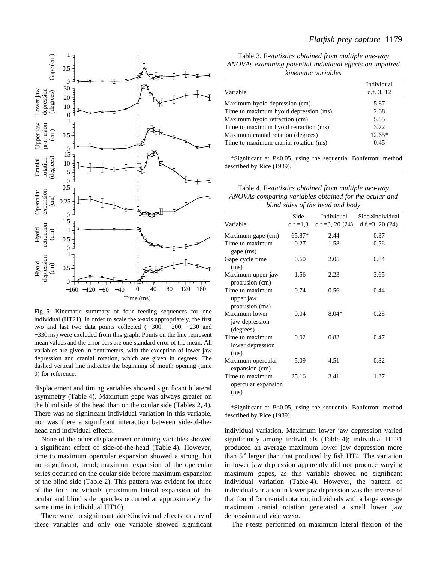

Fig. 5. Kinematic summary of four feeding sequences for one individual (HT21). In order to scale the *x*-axis appropriately, the first two and last two data points collected  $(-300, -200, +230, )$  and +330 ms) were excluded from this graph. Points on the line represent mean values and the error bars are one standard error of the mean. All variables are given in centimeters, with the exception of lower jaw depression and cranial rotation, which are given in degrees. The dashed vertical line indicates the beginning of mouth opening (time 0) for reference.

displacement and timing variables showed significant bilateral asymmetry (Table 4). Maximum gape was always greater on the blind side of the head than on the ocular side (Tables 2, 4). There was no significant individual variation in this variable, nor was there a significant interaction between side-of-thehead and individual effects.

None of the other displacement or timing variables showed a significant effect of side-of-the-head (Table 4). However, time to maximum opercular expansion showed a strong, but non-significant, trend; maximum expansion of the opercular series occurred on the ocular side before maximum expansion of the blind side (Table 2). This pattern was evident for three of the four individuals (maximum lateral expansion of the ocular and blind side opercles occurred at approximately the same time in individual HT10).

There were no significant side $\times$ individual effects for any of these variables and only one variable showed significant

Table 3. F*-statistics obtained from multiple one-way ANOVAs examining potential individual effects on unpaired kinematic variables*

| Variable                              | Individual<br>d.f. $3, 12$ |
|---------------------------------------|----------------------------|
| Maximum hyoid depression (cm)         | 5.87                       |
| Time to maximum hyoid depression (ms) | 2.68                       |
| Maximum hyoid retraction (cm)         | 5.85                       |
| Time to maximum hyoid retraction (ms) | 3.72                       |
| Maximum cranial rotation (degrees)    | $12.65*$                   |
| Time to maximum cranial rotation (ms) | 0.45                       |
|                                       |                            |

\*Significant at *P*<0.05, using the sequential Bonferroni method described by Rice (1989).

Table 4. F*-statistics obtained from multiple two-way ANOVAs comparing variables obtained for the ocular and blind sides of the head and body*

| Variable                                        | Side   | Individual<br>d.f.=1,3 d.f.=3, 20 $(24)$ | Side×Individual<br>d.f.=3, 20 $(24)$ |
|-------------------------------------------------|--------|------------------------------------------|--------------------------------------|
| Maximum gape (cm)                               | 65.87* | 2.44                                     | 0.37                                 |
| Time to maximum<br>gape (ms)                    | 0.27   | 1.58                                     | 0.56                                 |
| Gape cycle time<br>(ms)                         | 0.60   | 2.05                                     | 0.84                                 |
| Maximum upper jaw<br>protrusion (cm)            | 1.56   | 2.23                                     | 3.65                                 |
| Time to maximum<br>upper jaw<br>protrusion (ms) | 0.74   | 0.56                                     | 0.44                                 |
| Maximum lower<br>jaw depression<br>(degrees)    | 0.04   | $8.04*$                                  | 0.28                                 |
| Time to maximum<br>lower depression<br>(ms)     | 0.02   | 0.83                                     | 0.47                                 |
| Maximum opercular<br>expansion (cm)             | 5.09   | 4.51                                     | 0.82                                 |
| Time to maximum<br>opercular expansion<br>(ms)  | 25.16  | 3.41                                     | 1.37                                 |

\*Significant at *P*<0.05, using the sequential Bonferroni method described by Rice (1989).

individual variation. Maximum lower jaw depression varied significantly among individuals (Table 4); individual HT21 produced an average maximum lower jaw depression more than 5 ˚ larger than that produced by fish HT4. The variation in lower jaw depression apparently did not produce varying maximum gapes, as this variable showed no significant individual variation (Table 4). However, the pattern of individual variation in lower jaw depression was the inverse of that found for cranial rotation; individuals with a large average maximum cranial rotation generated a small lower jaw depression and *vice versa*.

The *t*-tests performed on maximum lateral flexion of the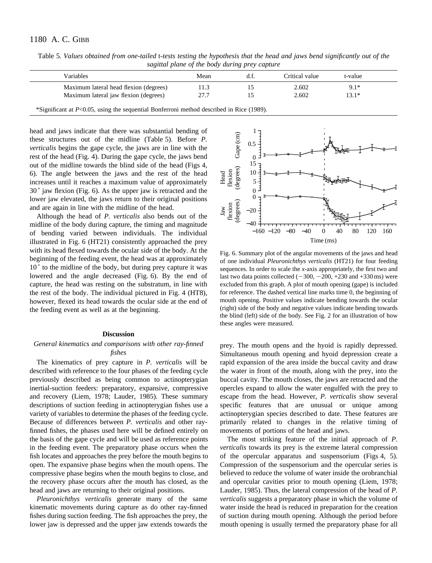| Variables                              | Mean | Critical value | t-value |
|----------------------------------------|------|----------------|---------|
| Maximum lateral head flexion (degrees) |      | 2.602          | $9.1*$  |
| Maximum lateral jaw flexion (degrees)  | 77 T | 2.602          | 13.1*   |

Table 5*. Values obtained from one-tailed* t-*tests testing the hypothesis that the head and jaws bend significantly out of the sagittal plane of the body during prey capture*

\*Significant at *P*<0.05, using the sequential Bonferroni method described in Rice (1989).

head and jaws indicate that there was substantial bending of these structures out of the midline (Table 5). Before *P. verticalis* begins the gape cycle, the jaws are in line with the rest of the head (Fig. 4). During the gape cycle, the jaws bend out of the midline towards the blind side of the head (Figs 4, 6). The angle between the jaws and the rest of the head increases until it reaches a maximum value of approximately 30 ˚ jaw flexion (Fig. 6). As the upper jaw is retracted and the lower jaw elevated, the jaws return to their original positions and are again in line with the midline of the head.

Although the head of *P. verticalis* also bends out of the midline of the body during capture, the timing and magnitude of bending varied between individuals. The individual illustrated in Fig. 6 (HT21) consistently approached the prey with its head flexed towards the ocular side of the body. At the beginning of the feeding event, the head was at approximately 10<sup>°</sup> to the midline of the body, but during prey capture it was lowered and the angle decreased (Fig. 6). By the end of capture, the head was resting on the substratum, in line with the rest of the body. The individual pictured in Fig. 4 (HT8), however, flexed its head towards the ocular side at the end of the feeding event as well as at the beginning.

### **Discussion**

## *General kinematics and comparisons with other ray-finned fishes*

The kinematics of prey capture in *P. verticalis* will be described with reference to the four phases of the feeding cycle previously described as being common to actinopterygian inertial-suction feeders: preparatory, expansive, compressive and recovery (Liem, 1978; Lauder, 1985). These summary descriptions of suction feeding in actinopterygian fishes use a variety of variables to determine the phases of the feeding cycle. Because of differences between *P. verticalis* and other rayfinned fishes, the phases used here will be defined entirely on the basis of the gape cycle and will be used as reference points in the feeding event. The preparatory phase occurs when the fish locates and approaches the prey before the mouth begins to open. The expansive phase begins when the mouth opens. The compressive phase begins when the mouth begins to close, and the recovery phase occurs after the mouth has closed, as the head and jaws are returning to their original positions.

*Pleuronichthys verticalis* generate many of the same kinematic movements during capture as do other ray-finned fishes during suction feeding. The fish approaches the prey, the lower jaw is depressed and the upper jaw extends towards the



Fig. 6. Summary plot of the angular movements of the jaws and head of one individual *Pleuronichthys verticalis* (HT21) for four feeding sequences. In order to scale the *x*-axis appropriately, the first two and last two data points collected  $(-300, -200, +230$  and  $+330$  ms) were excluded from this graph. A plot of mouth opening (gape) is included for reference. The dashed vertical line marks time 0, the beginning of mouth opening. Positive values indicate bending towards the ocular (right) side of the body and negative values indicate bending towards the blind (left) side of the body. See Fig. 2 for an illustration of how these angles were measured.

prey. The mouth opens and the hyoid is rapidly depressed. Simultaneous mouth opening and hyoid depression create a rapid expansion of the area inside the buccal cavity and draw the water in front of the mouth, along with the prey, into the buccal cavity. The mouth closes, the jaws are retracted and the opercles expand to allow the water engulfed with the prey to escape from the head. However, *P. verticalis* show several specific features that are unusual or unique among actinopterygian species described to date. These features are primarily related to changes in the relative timing of movements of portions of the head and jaws.

The most striking feature of the initial approach of *P. verticalis* towards its prey is the extreme lateral compression of the opercular apparatus and suspensorium (Figs 4, 5). Compression of the suspensorium and the opercular series is believed to reduce the volume of water inside the orobranchial and opercular cavities prior to mouth opening (Liem, 1978; Lauder, 1985). Thus, the lateral compression of the head of *P. verticalis* suggests a preparatory phase in which the volume of water inside the head is reduced in preparation for the creation of suction during mouth opening. Although the period before mouth opening is usually termed the preparatory phase for all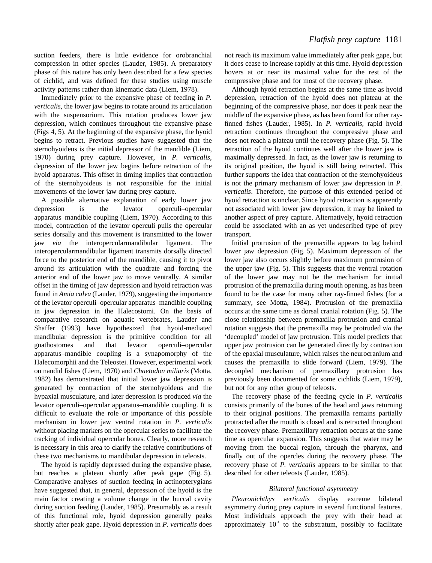suction feeders, there is little evidence for orobranchial compression in other species (Lauder, 1985). A preparatory phase of this nature has only been described for a few species of cichlid, and was defined for these studies using muscle activity patterns rather than kinematic data (Liem, 1978).

Immediately prior to the expansive phase of feeding in *P. verticalis*, the lower jaw begins to rotate around its articulation with the suspensorium. This rotation produces lower jaw depression, which continues throughout the expansive phase (Figs 4, 5). At the beginning of the expansive phase, the hyoid begins to retract. Previous studies have suggested that the sternohyoideus is the initial depressor of the mandible (Liem, 1970) during prey capture. However, in *P. verticalis*, depression of the lower jaw begins before retraction of the hyoid apparatus. This offset in timing implies that contraction of the sternohyoideus is not responsible for the initial movements of the lower jaw during prey capture.

A possible alternative explanation of early lower jaw depression is the levator operculi–opercular apparatus–mandible coupling (Liem, 1970). According to this model, contraction of the levator operculi pulls the opercular series dorsally and this movement is transmitted to the lower jaw *via* the interopercularmandibular ligament. The interopercularmandibular ligament transmits dorsally directed force to the posterior end of the mandible, causing it to pivot around its articulation with the quadrate and forcing the anterior end of the lower jaw to move ventrally. A similar offset in the timing of jaw depression and hyoid retraction was found in *Amia calva* (Lauder, 1979), suggesting the importance of the levator operculi–opercular apparatus–mandible coupling in jaw depression in the Halecostomi. On the basis of comparative research on aquatic vertebrates, Lauder and Shaffer (1993) have hypothesized that hyoid-mediated mandibular depression is the primitive condition for all gnathostomes and that levator operculi–opercular apparatus–mandible coupling is a synapomorphy of the Halecomorphii and the Teleostei. However, experimental work on nandid fishes (Liem, 1970) and *Chaetodon miliaris* (Motta, 1982) has demonstrated that initial lower jaw depression is generated by contraction of the sternohyoideus and the hypaxial musculature, and later depression is produced *via* the levator operculi–opercular apparatus–mandible coupling. It is difficult to evaluate the role or importance of this possible mechanism in lower jaw ventral rotation in *P. verticalis* without placing markers on the opercular series to facilitate the tracking of individual opercular bones. Clearly, more research is necessary in this area to clarify the relative contributions of these two mechanisms to mandibular depression in teleosts.

The hyoid is rapidly depressed during the expansive phase, but reaches a plateau shortly after peak gape (Fig. 5). Comparative analyses of suction feeding in actinopterygians have suggested that, in general, depression of the hyoid is the main factor creating a volume change in the buccal cavity during suction feeding (Lauder, 1985). Presumably as a result of this functional role, hyoid depression generally peaks shortly after peak gape. Hyoid depression in *P. verticalis* does not reach its maximum value immediately after peak gape, but it does cease to increase rapidly at this time. Hyoid depression hovers at or near its maximal value for the rest of the compressive phase and for most of the recovery phase.

Although hyoid retraction begins at the same time as hyoid depression, retraction of the hyoid does not plateau at the beginning of the compressive phase, nor does it peak near the middle of the expansive phase, as has been found for other rayfinned fishes (Lauder, 1985). In *P. verticalis*, rapid hyoid retraction continues throughout the compressive phase and does not reach a plateau until the recovery phase (Fig. 5). The retraction of the hyoid continues well after the lower jaw is maximally depressed. In fact, as the lower jaw is returning to its original position, the hyoid is still being retracted. This further supports the idea that contraction of the sternohyoideus is not the primary mechanism of lower jaw depression in *P. verticalis*. Therefore, the purpose of this extended period of hyoid retraction is unclear. Since hyoid retraction is apparently not associated with lower jaw depression, it may be linked to another aspect of prey capture. Alternatively, hyoid retraction could be associated with an as yet undescribed type of prey transport.

Initial protrusion of the premaxilla appears to lag behind lower jaw depression (Fig. 5). Maximum depression of the lower jaw also occurs slightly before maximum protrusion of the upper jaw (Fig. 5). This suggests that the ventral rotation of the lower jaw may not be the mechanism for initial protrusion of the premaxilla during mouth opening, as has been found to be the case for many other ray-finned fishes (for a summary, see Motta, 1984). Protrusion of the premaxilla occurs at the same time as dorsal cranial rotation (Fig. 5). The close relationship between premaxilla protrusion and cranial rotation suggests that the premaxilla may be protruded *via* the 'decoupled' model of jaw protrusion. This model predicts that upper jaw protrusion can be generated directly by contraction of the epaxial musculature, which raises the neurocranium and causes the premaxilla to slide forward (Liem, 1979). The decoupled mechanism of premaxillary protrusion has previously been documented for some cichlids (Liem, 1979), but not for any other group of teleosts.

The recovery phase of the feeding cycle in *P. verticalis* consists primarily of the bones of the head and jaws returning to their original positions. The premaxilla remains partially protracted after the mouth is closed and is retracted throughout the recovery phase. Premaxillary retraction occurs at the same time as opercular expansion. This suggests that water may be moving from the buccal region, through the pharynx, and finally out of the opercles during the recovery phase. The recovery phase of *P. verticalis* appears to be similar to that described for other teleosts (Lauder, 1985).

## *Bilateral functional asymmetry*

*Pleuronichthys verticalis* display extreme bilateral asymmetry during prey capture in several functional features. Most individuals approach the prey with their head at approximately 10° to the substratum, possibly to facilitate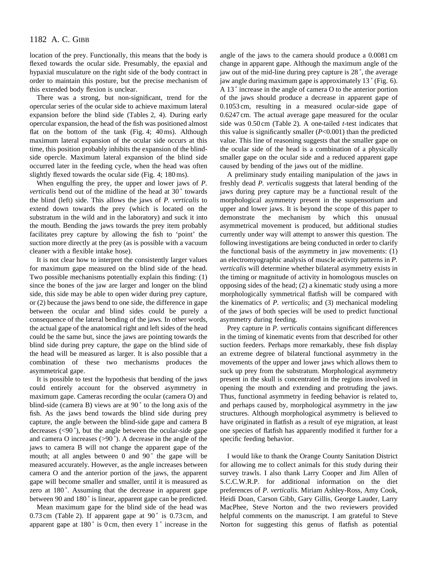location of the prey. Functionally, this means that the body is flexed towards the ocular side. Presumably, the epaxial and hypaxial musculature on the right side of the body contract in order to maintain this posture, but the precise mechanism of this extended body flexion is unclear.

There was a strong, but non-significant, trend for the opercular series of the ocular side to achieve maximum lateral expansion before the blind side (Tables 2, 4). During early opercular expansion, the head of the fish was positioned almost flat on the bottom of the tank (Fig. 4; 40 ms). Although maximum lateral expansion of the ocular side occurs at this time, this position probably inhibits the expansion of the blindside opercle. Maximum lateral expansion of the blind side occurred later in the feeding cycle, when the head was often slightly flexed towards the ocular side (Fig. 4; 180 ms).

When engulfing the prey, the upper and lower jaws of *P. verticalis* bend out of the midline of the head at 30° towards the blind (left) side. This allows the jaws of *P. verticalis* to extend down towards the prey (which is located on the substratum in the wild and in the laboratory) and suck it into the mouth. Bending the jaws towards the prey item probably facilitates prey capture by allowing the fish to 'point' the suction more directly at the prey (as is possible with a vacuum cleaner with a flexible intake hose).

It is not clear how to interpret the consistently larger values for maximum gape measured on the blind side of the head. Two possible mechanisms potentially explain this finding: (1) since the bones of the jaw are larger and longer on the blind side, this side may be able to open wider during prey capture, or (2) because the jaws bend to one side, the difference in gape between the ocular and blind sides could be purely a consequence of the lateral bending of the jaws. In other words, the actual gape of the anatomical right and left sides of the head could be the same but, since the jaws are pointing towards the blind side during prey capture, the gape on the blind side of the head will be measured as larger. It is also possible that a combination of these two mechanisms produces the asymmetrical gape.

It is possible to test the hypothesis that bending of the jaws could entirely account for the observed asymmetry in maximum gape. Cameras recording the ocular (camera O) and blind-side (camera B) views are at 90 ˚ to the long axis of the fish. As the jaws bend towards the blind side during prey capture, the angle between the blind-side gape and camera B decreases  $(<,90^\circ)$ , but the angle between the ocular-side gape and camera O increases (>90 ˚). A decrease in the angle of the jaws to camera B will not change the apparent gape of the mouth; at all angles between  $0$  and  $90^\circ$  the gape will be measured accurately. However, as the angle increases between camera O and the anterior portion of the jaws, the apparent gape will become smaller and smaller, until it is measured as zero at 180°. Assuming that the decrease in apparent gape between 90 and 180° is linear, apparent gape can be predicted.

Mean maximum gape for the blind side of the head was  $0.73$  cm (Table 2). If apparent gape at  $90^\circ$  is  $0.73$  cm, and apparent gape at  $180^\circ$  is 0 cm, then every  $1^\circ$  increase in the

angle of the jaws to the camera should produce a 0.0081 cm change in apparent gape. Although the maximum angle of the jaw out of the mid-line during prey capture is 28 ˚, the average jaw angle during maximum gape is approximately 13 ˚ (Fig. 6). A 13 ˚ increase in the angle of camera O to the anterior portion of the jaws should produce a decrease in apparent gape of 0.1053 cm, resulting in a measured ocular-side gape of 0.6247 cm. The actual average gape measured for the ocular side was 0.50 cm (Table 2). A one-tailed *t*-test indicates that this value is significantly smaller (*P*<0.001) than the predicted value. This line of reasoning suggests that the smaller gape on the ocular side of the head is a combination of a physically smaller gape on the ocular side and a reduced apparent gape caused by bending of the jaws out of the midline.

A preliminary study entailing manipulation of the jaws in freshly dead *P. verticalis* suggests that lateral bending of the jaws during prey capture may be a functional result of the morphological asymmetry present in the suspensorium and upper and lower jaws. It is beyond the scope of this paper to demonstrate the mechanism by which this unusual asymmetrical movement is produced, but additional studies currently under way will attempt to answer this question. The following investigations are being conducted in order to clarify the functional basis of the asymmetry in jaw movements: (1) an electromyographic analysis of muscle activity patterns in *P. verticalis* will determine whether bilateral asymmetry exists in the timing or magnitude of activity in homologous muscles on opposing sides of the head; (2) a kinematic study using a more morphologically symmetrical flatfish will be compared with the kinematics of *P. verticalis*; and (3) mechanical modeling of the jaws of both species will be used to predict functional asymmetry during feeding.

Prey capture in *P. verticalis* contains significant differences in the timing of kinematic events from that described for other suction feeders. Perhaps more remarkably, these fish display an extreme degree of bilateral functional asymmetry in the movements of the upper and lower jaws which allows them to suck up prey from the substratum. Morphological asymmetry present in the skull is concentrated in the regions involved in opening the mouth and extending and protruding the jaws. Thus, functional asymmetry in feeding behavior is related to, and perhaps caused by, morphological asymmetry in the jaw structures. Although morphological asymmetry is believed to have originated in flatfish as a result of eye migration, at least one species of flatfish has apparently modified it further for a specific feeding behavior.

I would like to thank the Orange County Sanitation District for allowing me to collect animals for this study during their survey trawls. I also thank Larry Cooper and Jim Allen of S.C.C.W.R.P. for additional information on the diet preferences of *P. verticalis*. Miriam Ashley-Ross, Amy Cook, Heidi Doan, Carson Gibb, Gary Gillis, George Lauder, Larry MacPhee, Steve Norton and the two reviewers provided helpful comments on the manuscript. I am grateful to Steve Norton for suggesting this genus of flatfish as potential